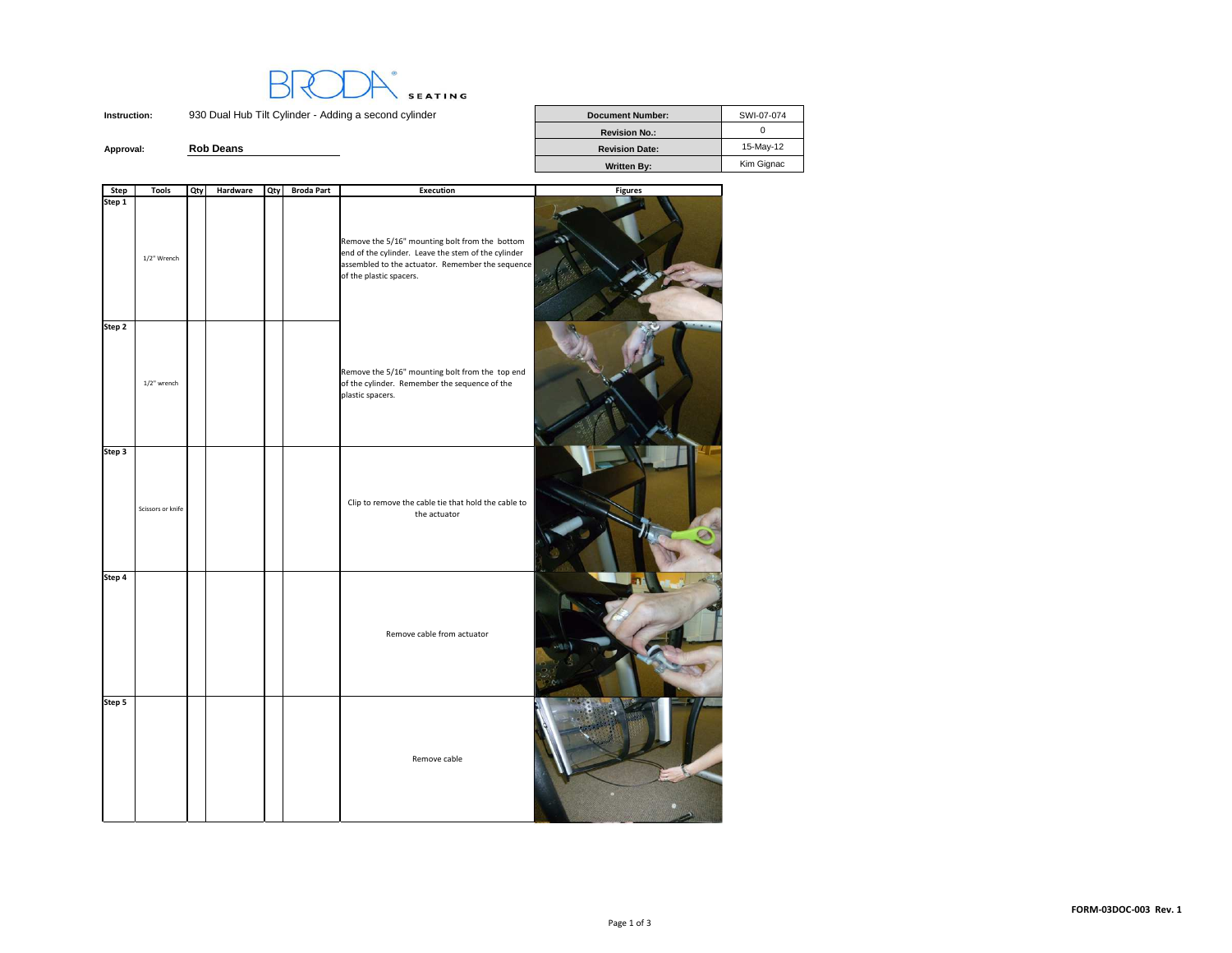

**Instruction:**930 Dual Hub Tilt Cylinder - Adding a second cylinder

|           |                  | <b>Revision No.:</b>  |            |
|-----------|------------------|-----------------------|------------|
| Approval: | <b>Rob Deans</b> | <b>Revision Date:</b> | 15-May-12  |
|           |                  | <b>Written Bv:</b>    | Kim Gignac |

| Step   | <b>Tools</b>      | Qty | Hardware | Qty | <b>Broda Part</b> | <b>Execution</b>                                                                                                                                                                     | <b>Figures</b> |
|--------|-------------------|-----|----------|-----|-------------------|--------------------------------------------------------------------------------------------------------------------------------------------------------------------------------------|----------------|
| Step 1 | 1/2" Wrench       |     |          |     |                   | Remove the 5/16" mounting bolt from the bottom<br>end of the cylinder. Leave the stem of the cylinder<br>assembled to the actuator. Remember the sequence<br>of the plastic spacers. |                |
| Step 2 | 1/2" wrench       |     |          |     |                   | Remove the 5/16" mounting bolt from the top end<br>of the cylinder. Remember the sequence of the<br>plastic spacers.                                                                 |                |
| Step 3 | Scissors or knife |     |          |     |                   | Clip to remove the cable tie that hold the cable to<br>the actuator                                                                                                                  |                |
| Step 4 |                   |     |          |     |                   | Remove cable from actuator                                                                                                                                                           |                |
| Step 5 |                   |     |          |     |                   | Remove cable                                                                                                                                                                         |                |

**Document Number:** SWI-07-074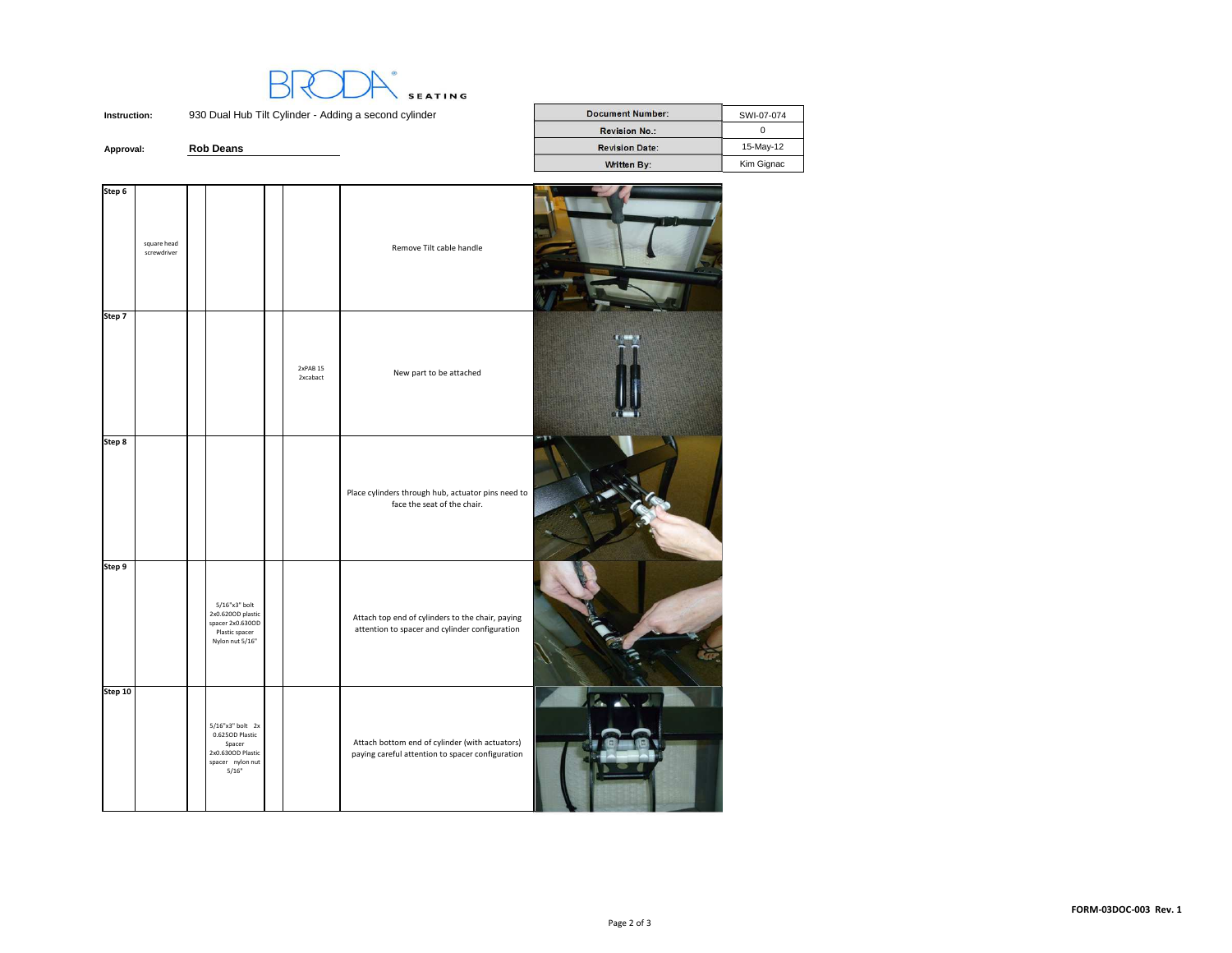**SEATING** 

**Instruction:**930 Dual Hub Tilt Cylinder - Adding a second cylinder

**Rob Deans**

**Approval:**

| lub Tilt Cylinder - Adding a second cylinder | <b>Document Number:</b> | SWI-07-074 |
|----------------------------------------------|-------------------------|------------|
|                                              |                         |            |
|                                              | <b>Revision No.:</b>    |            |
| s                                            | <b>Revision Date:</b>   | 15-May-12  |
|                                              | Written By:             | Kim Gignac |
|                                              |                         |            |

| Step 6  |                            |                                                                                                     |                      |                                                                                                    |  |
|---------|----------------------------|-----------------------------------------------------------------------------------------------------|----------------------|----------------------------------------------------------------------------------------------------|--|
|         | square head<br>screwdriver |                                                                                                     |                      | Remove Tilt cable handle                                                                           |  |
| Step 7  |                            |                                                                                                     | 2xPAB 15<br>2xcabact | New part to be attached                                                                            |  |
| Step 8  |                            |                                                                                                     |                      | Place cylinders through hub, actuator pins need to<br>face the seat of the chair.                  |  |
| Step 9  |                            | 5/16"x3" bolt<br>2x0.620OD plastic<br>spacer 2x0.630OD<br>Plastic spacer<br>Nylon nut 5/16"         |                      | Attach top end of cylinders to the chair, paying<br>attention to spacer and cylinder configuration |  |
| Step 10 |                            | $5/16"x3"$ bolt $2x$<br>0.625OD Plastic<br>Spacer<br>2x0.630OD Plastic<br>spacer nylon nut<br>5/16" |                      | Attach bottom end of cylinder (with actuators)<br>paying careful attention to spacer configuration |  |